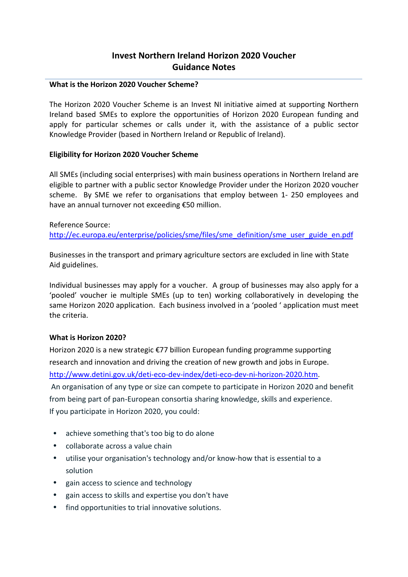# **Invest Northern Ireland Horizon 2020 Voucher Guidance Notes**

### **What is the Horizon 2020 Voucher Scheme?**

The Horizon 2020 Voucher Scheme is an Invest NI initiative aimed at supporting Northern Ireland based SMEs to explore the opportunities of Horizon 2020 European funding and apply for particular schemes or calls under it, with the assistance of a public sector Knowledge Provider (based in Northern Ireland or Republic of Ireland).

### **Eligibility for Horizon 2020 Voucher Scheme**

All SMEs (including social enterprises) with main business operations in Northern Ireland are eligible to partner with a public sector Knowledge Provider under the Horizon 2020 voucher scheme. By SME we refer to organisations that employ between 1- 250 employees and have an annual turnover not exceeding €50 million.

### Reference Source:

[http://ec.europa.eu/enterprise/policies/sme/files/sme\\_definition/sme\\_user\\_guide\\_en.pdf](http://ec.europa.eu/enterprise/policies/sme/files/sme_definition/sme_user_guide_en.pdf)

Businesses in the transport and primary agriculture sectors are excluded in line with State Aid guidelines.

Individual businesses may apply for a voucher. A group of businesses may also apply for a 'pooled' voucher ie multiple SMEs (up to ten) working collaboratively in developing the same Horizon 2020 application. Each business involved in a 'pooled ' application must meet the criteria.

### **What is Horizon 2020?**

Horizon 2020 is a new strategic €77 billion European funding programme supporting research and innovation and driving the creation of new growth and jobs in Europe. [http://www.detini.gov.uk/deti-eco-dev-index/deti-eco-dev-ni-horizon-2020.htm.](http://www.detini.gov.uk/deti-eco-dev-index/deti-eco-dev-ni-horizon-2020.htm) An organisation of any type or size can compete to participate in Horizon 2020 and benefit from being part of pan-European consortia sharing knowledge, skills and experience. If you participate in Horizon 2020, you could:

- achieve something that's too big to do alone
- collaborate across a value chain
- utilise your organisation's technology and/or know-how that is essential to a solution
- gain access to science and technology
- gain access to skills and expertise you don't have
- find opportunities to trial innovative solutions.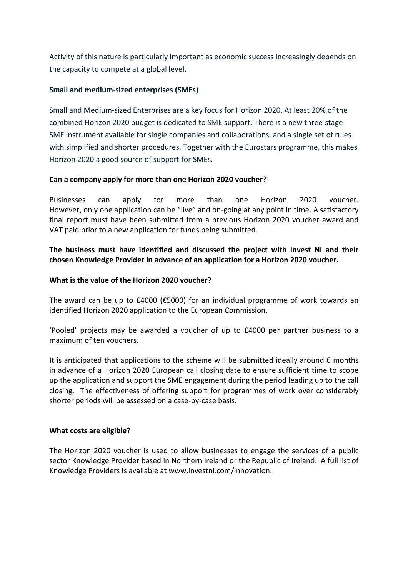Activity of this nature is particularly important as economic success increasingly depends on the capacity to compete at a global level.

# **Small and medium-sized enterprises (SMEs)**

Small and Medium-sized Enterprises are a key focus for Horizon 2020. At least 20% of the combined Horizon 2020 budget is dedicated to SME support. There is a new three-stage SME instrument available for single companies and collaborations, and a single set of rules with simplified and shorter procedures. Together with the Eurostars programme, this makes Horizon 2020 a good source of support for SMEs.

# **Can a company apply for more than one Horizon 2020 voucher?**

Businesses can apply for more than one Horizon 2020 voucher. However, only one application can be "live" and on-going at any point in time. A satisfactory final report must have been submitted from a previous Horizon 2020 voucher award and VAT paid prior to a new application for funds being submitted.

**The business must have identified and discussed the project with Invest NI and their chosen Knowledge Provider in advance of an application for a Horizon 2020 voucher.**

## **What is the value of the Horizon 2020 voucher?**

The award can be up to  $£4000$  ( $£5000$ ) for an individual programme of work towards an identified Horizon 2020 application to the European Commission.

'Pooled' projects may be awarded a voucher of up to £4000 per partner business to a maximum of ten vouchers.

It is anticipated that applications to the scheme will be submitted ideally around 6 months in advance of a Horizon 2020 European call closing date to ensure sufficient time to scope up the application and support the SME engagement during the period leading up to the call closing. The effectiveness of offering support for programmes of work over considerably shorter periods will be assessed on a case-by-case basis.

## **What costs are eligible?**

The Horizon 2020 voucher is used to allow businesses to engage the services of a public sector Knowledge Provider based in Northern Ireland or the Republic of Ireland. A full list of Knowledge Providers is available at www.investni.com/innovation.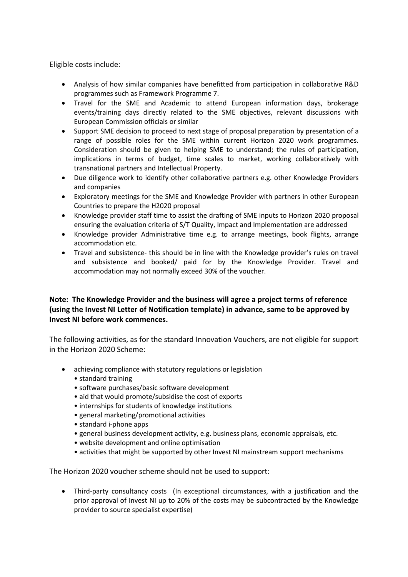Eligible costs include:

- Analysis of how similar companies have benefitted from participation in collaborative R&D programmes such as Framework Programme 7.
- Travel for the SME and Academic to attend European information days, brokerage events/training days directly related to the SME objectives, relevant discussions with European Commission officials or similar
- Support SME decision to proceed to next stage of proposal preparation by presentation of a range of possible roles for the SME within current Horizon 2020 work programmes. Consideration should be given to helping SME to understand; the rules of participation, implications in terms of budget, time scales to market, working collaboratively with transnational partners and Intellectual Property.
- Due diligence work to identify other collaborative partners e.g. other Knowledge Providers and companies
- Exploratory meetings for the SME and Knowledge Provider with partners in other European Countries to prepare the H2020 proposal
- Knowledge provider staff time to assist the drafting of SME inputs to Horizon 2020 proposal ensuring the evaluation criteria of S/T Quality, Impact and Implementation are addressed
- Knowledge provider Administrative time e.g. to arrange meetings, book flights, arrange accommodation etc.
- Travel and subsistence- this should be in line with the Knowledge provider's rules on travel and subsistence and booked/ paid for by the Knowledge Provider. Travel and accommodation may not normally exceed 30% of the voucher.

## **Note: The Knowledge Provider and the business will agree a project terms of reference (using the Invest NI Letter of Notification template) in advance, same to be approved by Invest NI before work commences.**

The following activities, as for the standard Innovation Vouchers, are not eligible for support in the Horizon 2020 Scheme:

- achieving compliance with statutory regulations or legislation
	- standard training
	- software purchases/basic software development
	- aid that would promote/subsidise the cost of exports
	- internships for students of knowledge institutions
	- general marketing/promotional activities
	- standard i-phone apps
	- general business development activity, e.g. business plans, economic appraisals, etc.
	- website development and online optimisation
	- activities that might be supported by other Invest NI mainstream support mechanisms

The Horizon 2020 voucher scheme should not be used to support:

• Third-party consultancy costs (In exceptional circumstances, with a justification and the prior approval of Invest NI up to 20% of the costs may be subcontracted by the Knowledge provider to source specialist expertise)